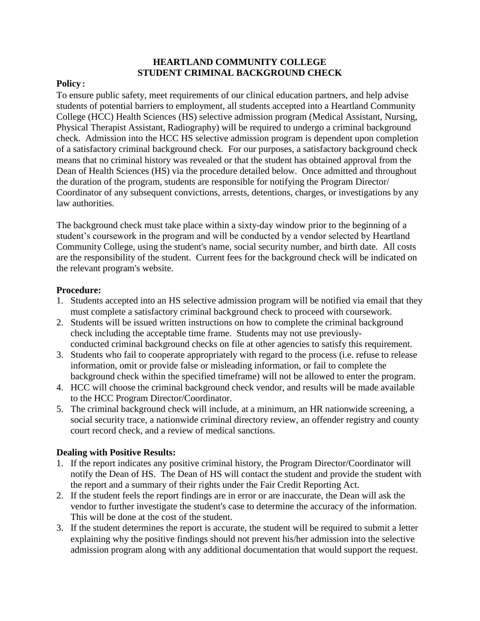## **HEARTLAND COMMUNITY COLLEGE STUDENT CRIMINAL BACKGROUND CHECK**

## **Policy:**

To ensure public safety, meet requirements of our clinical education partners, and help advise students of potential barriers to employment, all students accepted into a Heartland Community College (HCC) Health Sciences (HS) selective admission program (Medical Assistant, Nursing, Physical Therapist Assistant, Radiography) will be required to undergo a criminal background check. Admission into the HCC HS selective admission program is dependent upon completion of a satisfactory criminal background check. For our purposes, a satisfactory background check means that no criminal history was revealed or that the student has obtained approval from the Dean of Health Sciences (HS) via the procedure detailed below. Once admitted and throughout the duration of the program, students are responsible for notifying the Program Director/ Coordinator of any subsequent convictions, arrests, detentions, charges, or investigations by any law authorities.

The background check must take place within a sixty-day window prior to the beginning of a student's coursework in the program and will be conducted by a vendor selected by Heartland Community College, using the student's name, social security number, and birth date. All costs are the responsibility of the student. Current fees for the background check will be indicated on the relevant program's website.

## **Procedure:**

- 1. Students accepted into an HS selective admission program will be notified via email that they must complete a satisfactory criminal background check to proceed with coursework.
- 2. Students will be issued written instructions on how to complete the criminal background check including the acceptable time frame. Students may not use previouslyconducted criminal background checks on file at other agencies to satisfy this requirement.
- 3. Students who fail to cooperate appropriately with regard to the process (i.e. refuse to release information, omit or provide false or misleading information, or fail to complete the background check within the specified timeframe) will not be allowed to enter the program.
- 4. HCC will choose the criminal background check vendor, and results will be made available to the HCC Program Director/Coordinator.
- 5. The criminal background check will include, at a minimum, an HR nationwide screening, a social security trace, a nationwide criminal directory review, an offender registry and county court record check, and a review of medical sanctions.

## **Dealing with Positive Results:**

- 1. If the report indicates any positive criminal history, the Program Director/Coordinator will notify the Dean of HS. The Dean of HS will contact the student and provide the student with the report and a summary of their rights under the Fair Credit Reporting Act.
- 2. If the student feels the report findings are in error or are inaccurate, the Dean will ask the vendor to further investigate the student's case to determine the accuracy of the information. This will be done at the cost of the student.
- 3. If the student determines the report is accurate, the student will be required to submit a letter explaining why the positive findings should not prevent his/her admission into the selective admission program along with any additional documentation that would support the request.